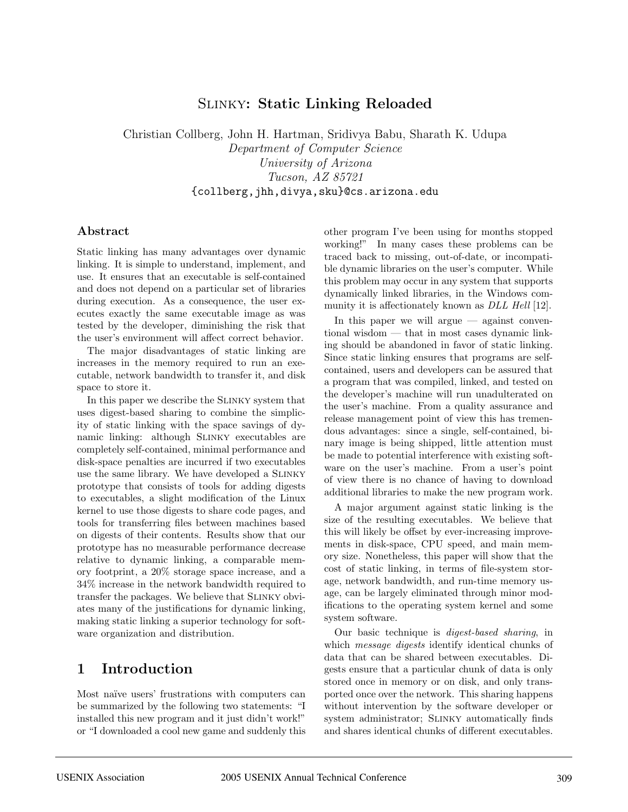## Slinky**: Static Linking Reloaded**

Christian Collberg, John H. Hartman, Sridivya Babu, Sharath K. Udupa Department of Computer Science University of Arizona Tucson, AZ 85721 {collberg,jhh,divya,sku}@cs.arizona.edu

#### **Abstract**

Static linking has many advantages over dynamic linking. It is simple to understand, implement, and use. It ensures that an executable is self-contained and does not depend on a particular set of libraries during execution. As a consequence, the user executes exactly the same executable image as was tested by the developer, diminishing the risk that the user's environment will affect correct behavior.

The major disadvantages of static linking are increases in the memory required to run an executable, network bandwidth to transfer it, and disk space to store it.

In this paper we describe the Slinky system that uses digest-based sharing to combine the simplicity of static linking with the space savings of dynamic linking: although SLINKY executables are completely self-contained, minimal performance and disk-space penalties are incurred if two executables use the same library. We have developed a SLINKY prototype that consists of tools for adding digests to executables, a slight modification of the Linux kernel to use those digests to share code pages, and tools for transferring files between machines based on digests of their contents. Results show that our prototype has no measurable performance decrease relative to dynamic linking, a comparable memory footprint, a 20% storage space increase, and a 34% increase in the network bandwidth required to transfer the packages. We believe that Slinky obviates many of the justifications for dynamic linking, making static linking a superior technology for software organization and distribution.

## **1 Introduction**

Most naïve users' frustrations with computers can be summarized by the following two statements: "I installed this new program and it just didn't work!" or "I downloaded a cool new game and suddenly this other program I've been using for months stopped working!" In many cases these problems can be traced back to missing, out-of-date, or incompatible dynamic libraries on the user's computer. While this problem may occur in any system that supports dynamically linked libraries, in the Windows community it is affectionately known as *DLL Hell* [12].

In this paper we will argue  $-$  against conventional wisdom — that in most cases dynamic linking should be abandoned in favor of static linking. Since static linking ensures that programs are selfcontained, users and developers can be assured that a program that was compiled, linked, and tested on the developer's machine will run unadulterated on the user's machine. From a quality assurance and release management point of view this has tremendous advantages: since a single, self-contained, binary image is being shipped, little attention must be made to potential interference with existing software on the user's machine. From a user's point of view there is no chance of having to download additional libraries to make the new program work.

A major argument against static linking is the size of the resulting executables. We believe that this will likely be offset by ever-increasing improvements in disk-space, CPU speed, and main memory size. Nonetheless, this paper will show that the cost of static linking, in terms of file-system storage, network bandwidth, and run-time memory usage, can be largely eliminated through minor modifications to the operating system kernel and some system software.

Our basic technique is digest-based sharing, in which *message digests* identify identical chunks of data that can be shared between executables. Digests ensure that a particular chunk of data is only stored once in memory or on disk, and only transported once over the network. This sharing happens without intervention by the software developer or system administrator; SLINKY automatically finds and shares identical chunks of different executables.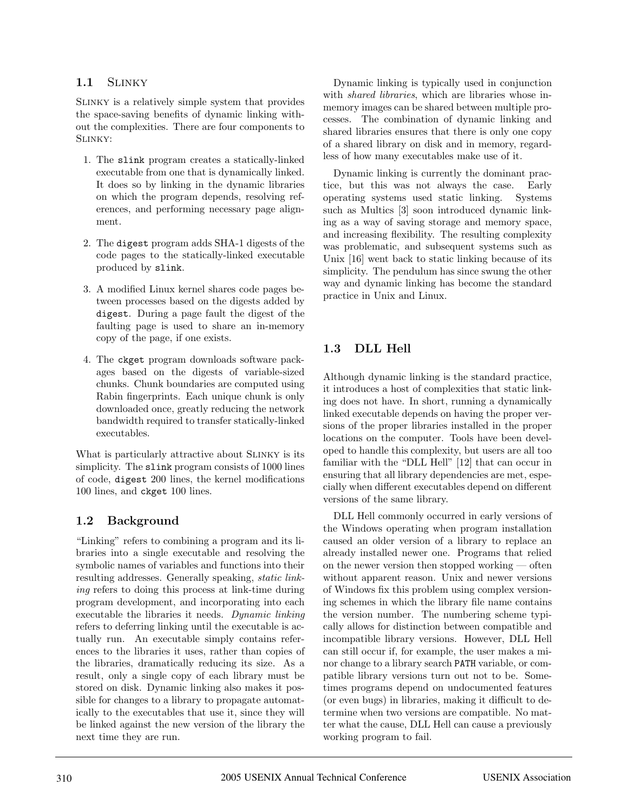#### **1.1** Slinky

Slinky is a relatively simple system that provides the space-saving benefits of dynamic linking without the complexities. There are four components to Slinky:

- 1. The slink program creates a statically-linked executable from one that is dynamically linked. It does so by linking in the dynamic libraries on which the program depends, resolving references, and performing necessary page alignment.
- 2. The digest program adds SHA-1 digests of the code pages to the statically-linked executable produced by slink.
- 3. A modified Linux kernel shares code pages between processes based on the digests added by digest. During a page fault the digest of the faulting page is used to share an in-memory copy of the page, if one exists.
- 4. The ckget program downloads software packages based on the digests of variable-sized chunks. Chunk boundaries are computed using Rabin fingerprints. Each unique chunk is only downloaded once, greatly reducing the network bandwidth required to transfer statically-linked executables.

What is particularly attractive about SLINKY is its simplicity. The slink program consists of 1000 lines of code, digest 200 lines, the kernel modifications 100 lines, and ckget 100 lines.

### **1.2 Background**

"Linking" refers to combining a program and its libraries into a single executable and resolving the symbolic names of variables and functions into their resulting addresses. Generally speaking, static linking refers to doing this process at link-time during program development, and incorporating into each executable the libraries it needs. Dynamic linking refers to deferring linking until the executable is actually run. An executable simply contains references to the libraries it uses, rather than copies of the libraries, dramatically reducing its size. As a result, only a single copy of each library must be stored on disk. Dynamic linking also makes it possible for changes to a library to propagate automatically to the executables that use it, since they will be linked against the new version of the library the next time they are run.

Dynamic linking is typically used in conjunction with shared libraries, which are libraries whose inmemory images can be shared between multiple processes. The combination of dynamic linking and shared libraries ensures that there is only one copy of a shared library on disk and in memory, regardless of how many executables make use of it.

Dynamic linking is currently the dominant practice, but this was not always the case. Early operating systems used static linking. Systems such as Multics [3] soon introduced dynamic linking as a way of saving storage and memory space, and increasing flexibility. The resulting complexity was problematic, and subsequent systems such as Unix [16] went back to static linking because of its simplicity. The pendulum has since swung the other way and dynamic linking has become the standard practice in Unix and Linux.

## **1.3 DLL Hell**

Although dynamic linking is the standard practice, it introduces a host of complexities that static linking does not have. In short, running a dynamically linked executable depends on having the proper versions of the proper libraries installed in the proper locations on the computer. Tools have been developed to handle this complexity, but users are all too familiar with the "DLL Hell" [12] that can occur in ensuring that all library dependencies are met, especially when different executables depend on different versions of the same library.

DLL Hell commonly occurred in early versions of the Windows operating when program installation caused an older version of a library to replace an already installed newer one. Programs that relied on the newer version then stopped working — often without apparent reason. Unix and newer versions of Windows fix this problem using complex versioning schemes in which the library file name contains the version number. The numbering scheme typically allows for distinction between compatible and incompatible library versions. However, DLL Hell can still occur if, for example, the user makes a minor change to a library search PATH variable, or compatible library versions turn out not to be. Sometimes programs depend on undocumented features (or even bugs) in libraries, making it difficult to determine when two versions are compatible. No matter what the cause, DLL Hell can cause a previously working program to fail.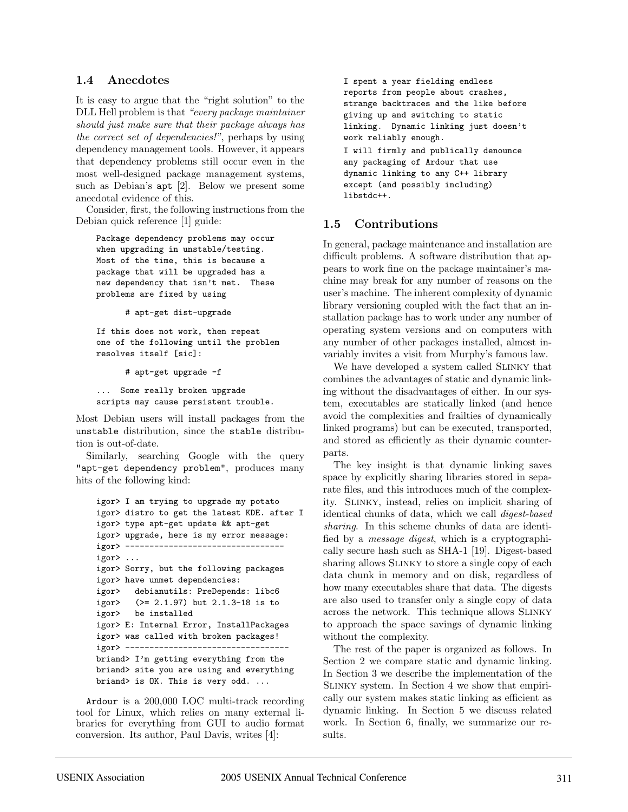#### **1.4 Anecdotes**

It is easy to argue that the "right solution" to the DLL Hell problem is that "every package maintainer should just make sure that their package always has the correct set of dependencies!", perhaps by using dependency management tools. However, it appears that dependency problems still occur even in the most well-designed package management systems, such as Debian's apt [2]. Below we present some anecdotal evidence of this.

Consider, first, the following instructions from the Debian quick reference [1] guide:

Package dependency problems may occur when upgrading in unstable/testing. Most of the time, this is because a package that will be upgraded has a new dependency that isn't met. These problems are fixed by using

# apt-get dist-upgrade

If this does not work, then repeat one of the following until the problem resolves itself [sic]:

# apt-get upgrade -f

... Some really broken upgrade scripts may cause persistent trouble.

Most Debian users will install packages from the unstable distribution, since the stable distribution is out-of-date.

Similarly, searching Google with the query "apt-get dependency problem", produces many hits of the following kind:

```
igor> I am trying to upgrade my potato
igor> distro to get the latest KDE. after I
igor> type apt-get update && apt-get
igor> upgrade, here is my error message:
igor> ---------------------------------
igor> ...
igor> Sorry, but the following packages
igor> have unmet dependencies:
igor> debianutils: PreDepends: libc6
igor> (>= 2.1.97) but 2.1.3-18 is to
igor> be installed
igor> E: Internal Error, InstallPackages
igor> was called with broken packages!
igor> ----------------------------------
briand> I'm getting everything from the
briand> site you are using and everything
briand> is OK. This is very odd. ...
```
Ardour is a 200,000 LOC multi-track recording tool for Linux, which relies on many external libraries for everything from GUI to audio format conversion. Its author, Paul Davis, writes [4]:

```
I spent a year fielding endless
reports from people about crashes,
strange backtraces and the like before
giving up and switching to static
linking. Dynamic linking just doesn't
work reliably enough.
```
I will firmly and publically denounce any packaging of Ardour that use dynamic linking to any C++ library except (and possibly including) libstdc++.

#### **1.5 Contributions**

In general, package maintenance and installation are difficult problems. A software distribution that appears to work fine on the package maintainer's machine may break for any number of reasons on the user's machine. The inherent complexity of dynamic library versioning coupled with the fact that an installation package has to work under any number of operating system versions and on computers with any number of other packages installed, almost invariably invites a visit from Murphy's famous law.

We have developed a system called SLINKY that combines the advantages of static and dynamic linking without the disadvantages of either. In our system, executables are statically linked (and hence avoid the complexities and frailties of dynamically linked programs) but can be executed, transported, and stored as efficiently as their dynamic counterparts.

The key insight is that dynamic linking saves space by explicitly sharing libraries stored in separate files, and this introduces much of the complexity. Slinky, instead, relies on implicit sharing of identical chunks of data, which we call digest-based sharing. In this scheme chunks of data are identified by a message digest, which is a cryptographically secure hash such as SHA-1 [19]. Digest-based sharing allows SLINKY to store a single copy of each data chunk in memory and on disk, regardless of how many executables share that data. The digests are also used to transfer only a single copy of data across the network. This technique allows Slinky to approach the space savings of dynamic linking without the complexity.

The rest of the paper is organized as follows. In Section 2 we compare static and dynamic linking. In Section 3 we describe the implementation of the Slinky system. In Section 4 we show that empirically our system makes static linking as efficient as dynamic linking. In Section 5 we discuss related work. In Section 6, finally, we summarize our results.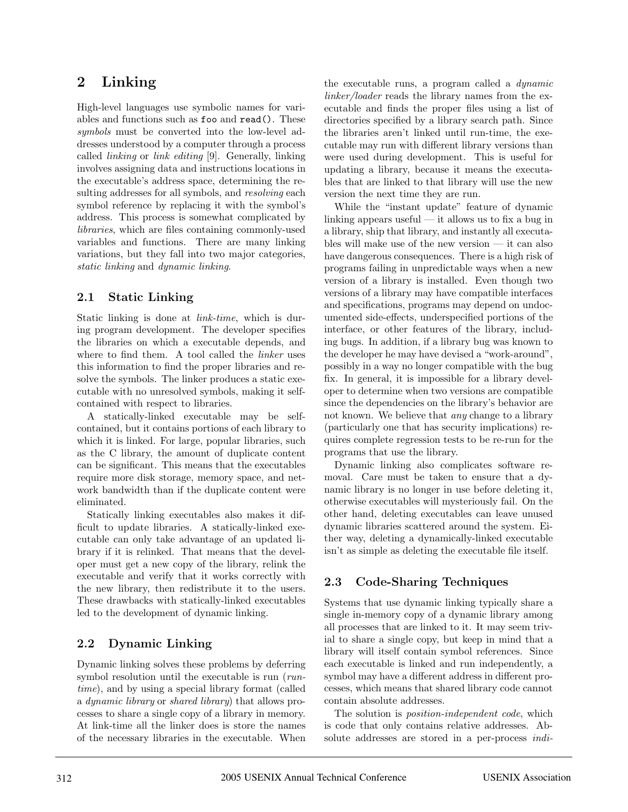# **2 Linking**

High-level languages use symbolic names for variables and functions such as foo and read(). These symbols must be converted into the low-level addresses understood by a computer through a process called linking or link editing [9]. Generally, linking involves assigning data and instructions locations in the executable's address space, determining the resulting addresses for all symbols, and *resolving* each symbol reference by replacing it with the symbol's address. This process is somewhat complicated by libraries, which are files containing commonly-used variables and functions. There are many linking variations, but they fall into two major categories, static linking and dynamic linking.

### **2.1 Static Linking**

Static linking is done at *link-time*, which is during program development. The developer specifies the libraries on which a executable depends, and where to find them. A tool called the *linker* uses this information to find the proper libraries and resolve the symbols. The linker produces a static executable with no unresolved symbols, making it selfcontained with respect to libraries.

A statically-linked executable may be selfcontained, but it contains portions of each library to which it is linked. For large, popular libraries, such as the C library, the amount of duplicate content can be significant. This means that the executables require more disk storage, memory space, and network bandwidth than if the duplicate content were eliminated.

Statically linking executables also makes it difficult to update libraries. A statically-linked executable can only take advantage of an updated library if it is relinked. That means that the developer must get a new copy of the library, relink the executable and verify that it works correctly with the new library, then redistribute it to the users. These drawbacks with statically-linked executables led to the development of dynamic linking.

## **2.2 Dynamic Linking**

Dynamic linking solves these problems by deferring symbol resolution until the executable is run (runtime), and by using a special library format (called a dynamic library or shared library) that allows processes to share a single copy of a library in memory. At link-time all the linker does is store the names of the necessary libraries in the executable. When the executable runs, a program called a dynamic linker/loader reads the library names from the executable and finds the proper files using a list of directories specified by a library search path. Since the libraries aren't linked until run-time, the executable may run with different library versions than were used during development. This is useful for updating a library, because it means the executables that are linked to that library will use the new version the next time they are run.

While the "instant update" feature of dynamic linking appears useful  $-$  it allows us to fix a bug in a library, ship that library, and instantly all executables will make use of the new version — it can also have dangerous consequences. There is a high risk of programs failing in unpredictable ways when a new version of a library is installed. Even though two versions of a library may have compatible interfaces and specifications, programs may depend on undocumented side-effects, underspecified portions of the interface, or other features of the library, including bugs. In addition, if a library bug was known to the developer he may have devised a "work-around", possibly in a way no longer compatible with the bug fix. In general, it is impossible for a library developer to determine when two versions are compatible since the dependencies on the library's behavior are not known. We believe that any change to a library (particularly one that has security implications) requires complete regression tests to be re-run for the programs that use the library.

Dynamic linking also complicates software removal. Care must be taken to ensure that a dynamic library is no longer in use before deleting it, otherwise executables will mysteriously fail. On the other hand, deleting executables can leave unused dynamic libraries scattered around the system. Either way, deleting a dynamically-linked executable isn't as simple as deleting the executable file itself.

## **2.3 Code-Sharing Techniques**

Systems that use dynamic linking typically share a single in-memory copy of a dynamic library among all processes that are linked to it. It may seem trivial to share a single copy, but keep in mind that a library will itself contain symbol references. Since each executable is linked and run independently, a symbol may have a different address in different processes, which means that shared library code cannot contain absolute addresses.

The solution is *position-independent code*, which is code that only contains relative addresses. Absolute addresses are stored in a per-process indi-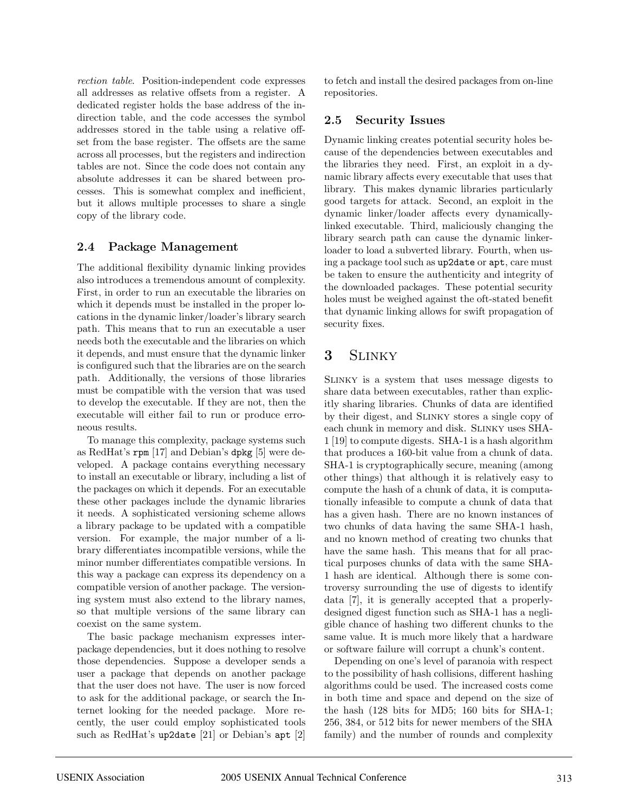rection table. Position-independent code expresses all addresses as relative offsets from a register. A dedicated register holds the base address of the indirection table, and the code accesses the symbol addresses stored in the table using a relative offset from the base register. The offsets are the same across all processes, but the registers and indirection tables are not. Since the code does not contain any absolute addresses it can be shared between processes. This is somewhat complex and inefficient, but it allows multiple processes to share a single copy of the library code.

#### **2.4 Package Management**

The additional flexibility dynamic linking provides also introduces a tremendous amount of complexity. First, in order to run an executable the libraries on which it depends must be installed in the proper locations in the dynamic linker/loader's library search path. This means that to run an executable a user needs both the executable and the libraries on which it depends, and must ensure that the dynamic linker is configured such that the libraries are on the search path. Additionally, the versions of those libraries must be compatible with the version that was used to develop the executable. If they are not, then the executable will either fail to run or produce erroneous results.

To manage this complexity, package systems such as RedHat's rpm [17] and Debian's dpkg [5] were developed. A package contains everything necessary to install an executable or library, including a list of the packages on which it depends. For an executable these other packages include the dynamic libraries it needs. A sophisticated versioning scheme allows a library package to be updated with a compatible version. For example, the major number of a library differentiates incompatible versions, while the minor number differentiates compatible versions. In this way a package can express its dependency on a compatible version of another package. The versioning system must also extend to the library names, so that multiple versions of the same library can coexist on the same system.

The basic package mechanism expresses interpackage dependencies, but it does nothing to resolve those dependencies. Suppose a developer sends a user a package that depends on another package that the user does not have. The user is now forced to ask for the additional package, or search the Internet looking for the needed package. More recently, the user could employ sophisticated tools such as RedHat's up2date [21] or Debian's apt [2] to fetch and install the desired packages from on-line repositories.

## **2.5 Security Issues**

Dynamic linking creates potential security holes because of the dependencies between executables and the libraries they need. First, an exploit in a dynamic library affects every executable that uses that library. This makes dynamic libraries particularly good targets for attack. Second, an exploit in the dynamic linker/loader affects every dynamicallylinked executable. Third, maliciously changing the library search path can cause the dynamic linkerloader to load a subverted library. Fourth, when using a package tool such as up2date or apt, care must be taken to ensure the authenticity and integrity of the downloaded packages. These potential security holes must be weighed against the oft-stated benefit that dynamic linking allows for swift propagation of security fixes.

## **3** Slinky

Slinky is a system that uses message digests to share data between executables, rather than explicitly sharing libraries. Chunks of data are identified by their digest, and Slinky stores a single copy of each chunk in memory and disk. Slinky uses SHA-1 [19] to compute digests. SHA-1 is a hash algorithm that produces a 160-bit value from a chunk of data. SHA-1 is cryptographically secure, meaning (among other things) that although it is relatively easy to compute the hash of a chunk of data, it is computationally infeasible to compute a chunk of data that has a given hash. There are no known instances of two chunks of data having the same SHA-1 hash, and no known method of creating two chunks that have the same hash. This means that for all practical purposes chunks of data with the same SHA-1 hash are identical. Although there is some controversy surrounding the use of digests to identify data [7], it is generally accepted that a properlydesigned digest function such as SHA-1 has a negligible chance of hashing two different chunks to the same value. It is much more likely that a hardware or software failure will corrupt a chunk's content.

Depending on one's level of paranoia with respect to the possibility of hash collisions, different hashing algorithms could be used. The increased costs come in both time and space and depend on the size of the hash (128 bits for MD5; 160 bits for SHA-1; 256, 384, or 512 bits for newer members of the SHA family) and the number of rounds and complexity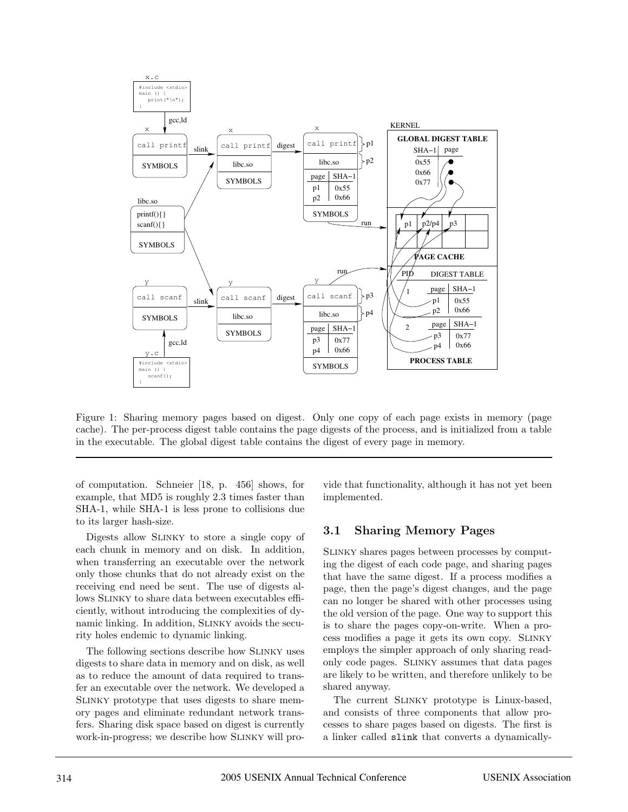

Figure 1: Sharing memory pages based on digest. Only one copy of each page exists in memory (page cache). The per-process digest table contains the page digests of the process, and is initialized from a table in the executable. The global digest table contains the digest of every page in memory.

of computation. Schneier [18, p. 456] shows, for example, that MD5 is roughly 2.3 times faster than SHA-1, while SHA-1 is less prone to collisions due to its larger hash-size.

Digests allow Slinky to store a single copy of each chunk in memory and on disk. In addition, when transferring an executable over the network only those chunks that do not already exist on the receiving end need be sent. The use of digests allows Slinky to share data between executables efficiently, without introducing the complexities of dynamic linking. In addition, Slinky avoids the security holes endemic to dynamic linking.

The following sections describe how Slinky uses digests to share data in memory and on disk, as well as to reduce the amount of data required to transfer an executable over the network. We developed a Slinky prototype that uses digests to share memory pages and eliminate redundant network transfers. Sharing disk space based on digest is currently work-in-progress; we describe how Slinky will provide that functionality, although it has not yet been implemented.

#### **3.1 Sharing Memory Pages**

Slinky shares pages between processes by computing the digest of each code page, and sharing pages that have the same digest. If a process modifies a page, then the page's digest changes, and the page can no longer be shared with other processes using the old version of the page. One way to support this is to share the pages copy-on-write. When a process modifies a page it gets its own copy. Slinky employs the simpler approach of only sharing readonly code pages. Slinky assumes that data pages are likely to be written, and therefore unlikely to be shared anyway.

The current Slinky prototype is Linux-based, and consists of three components that allow processes to share pages based on digests. The first is a linker called slink that converts a dynamically-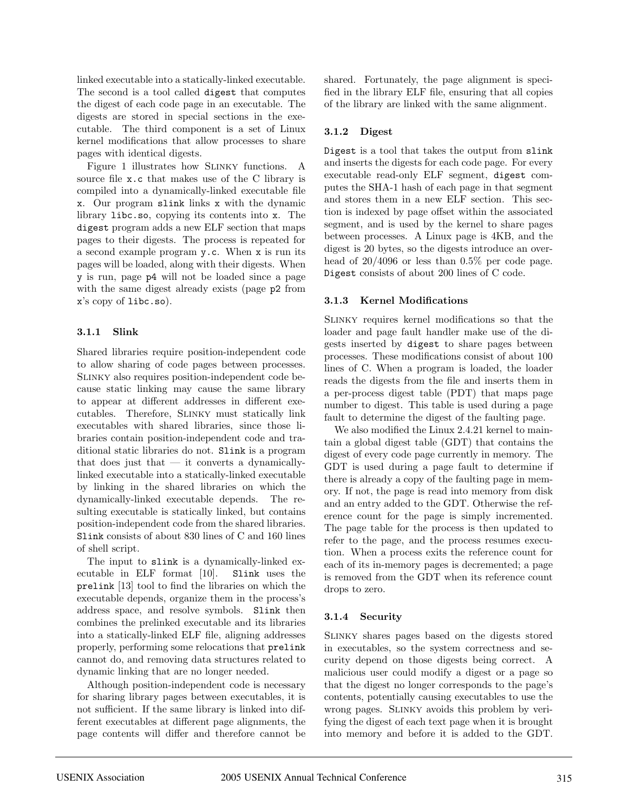linked executable into a statically-linked executable. The second is a tool called digest that computes the digest of each code page in an executable. The digests are stored in special sections in the executable. The third component is a set of Linux kernel modifications that allow processes to share pages with identical digests.

Figure 1 illustrates how SLINKY functions. A source file x.c that makes use of the C library is compiled into a dynamically-linked executable file x. Our program slink links x with the dynamic library libc.so, copying its contents into x. The digest program adds a new ELF section that maps pages to their digests. The process is repeated for a second example program y.c. When x is run its pages will be loaded, along with their digests. When y is run, page p4 will not be loaded since a page with the same digest already exists (page p2 from x's copy of libc.so).

#### **3.1.1 Slink**

Shared libraries require position-independent code to allow sharing of code pages between processes. Slinky also requires position-independent code because static linking may cause the same library to appear at different addresses in different executables. Therefore, Slinky must statically link executables with shared libraries, since those libraries contain position-independent code and traditional static libraries do not. Slink is a program that does just that  $-$  it converts a dynamicallylinked executable into a statically-linked executable by linking in the shared libraries on which the dynamically-linked executable depends. The resulting executable is statically linked, but contains position-independent code from the shared libraries. Slink consists of about 830 lines of C and 160 lines of shell script.

The input to slink is a dynamically-linked executable in ELF format [10]. Slink uses the prelink [13] tool to find the libraries on which the executable depends, organize them in the process's address space, and resolve symbols. Slink then combines the prelinked executable and its libraries into a statically-linked ELF file, aligning addresses properly, performing some relocations that prelink cannot do, and removing data structures related to dynamic linking that are no longer needed.

Although position-independent code is necessary for sharing library pages between executables, it is not sufficient. If the same library is linked into different executables at different page alignments, the page contents will differ and therefore cannot be

shared. Fortunately, the page alignment is specified in the library ELF file, ensuring that all copies of the library are linked with the same alignment.

#### **3.1.2 Digest**

Digest is a tool that takes the output from slink and inserts the digests for each code page. For every executable read-only ELF segment, digest computes the SHA-1 hash of each page in that segment and stores them in a new ELF section. This section is indexed by page offset within the associated segment, and is used by the kernel to share pages between processes. A Linux page is 4KB, and the digest is 20 bytes, so the digests introduce an overhead of 20/4096 or less than 0.5% per code page. Digest consists of about 200 lines of C code.

#### **3.1.3 Kernel Modifications**

Slinky requires kernel modifications so that the loader and page fault handler make use of the digests inserted by digest to share pages between processes. These modifications consist of about 100 lines of C. When a program is loaded, the loader reads the digests from the file and inserts them in a per-process digest table (PDT) that maps page number to digest. This table is used during a page fault to determine the digest of the faulting page.

We also modified the Linux 2.4.21 kernel to maintain a global digest table (GDT) that contains the digest of every code page currently in memory. The GDT is used during a page fault to determine if there is already a copy of the faulting page in memory. If not, the page is read into memory from disk and an entry added to the GDT. Otherwise the reference count for the page is simply incremented. The page table for the process is then updated to refer to the page, and the process resumes execution. When a process exits the reference count for each of its in-memory pages is decremented; a page is removed from the GDT when its reference count drops to zero.

#### **3.1.4 Security**

Slinky shares pages based on the digests stored in executables, so the system correctness and security depend on those digests being correct. A malicious user could modify a digest or a page so that the digest no longer corresponds to the page's contents, potentially causing executables to use the wrong pages. SLINKY avoids this problem by verifying the digest of each text page when it is brought into memory and before it is added to the GDT.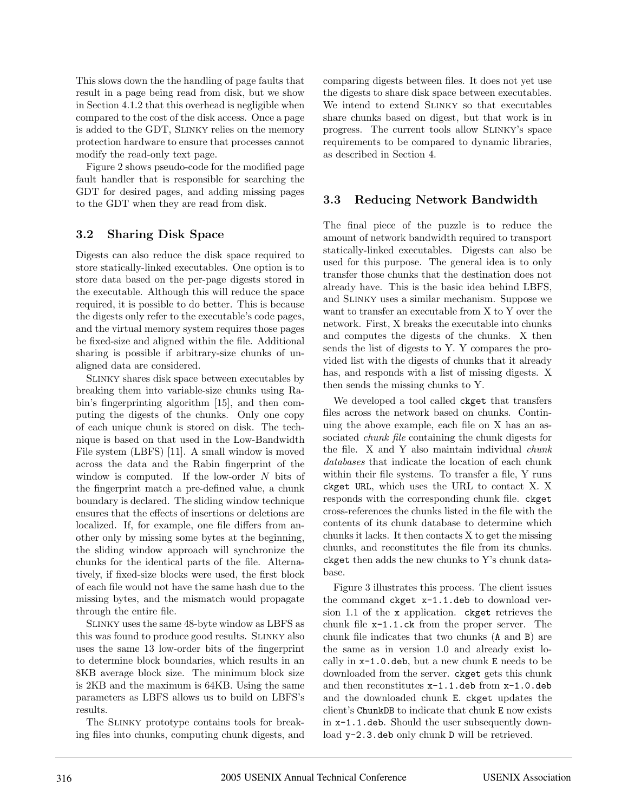This slows down the the handling of page faults that result in a page being read from disk, but we show in Section 4.1.2 that this overhead is negligible when compared to the cost of the disk access. Once a page is added to the GDT, Slinky relies on the memory protection hardware to ensure that processes cannot modify the read-only text page.

Figure 2 shows pseudo-code for the modified page fault handler that is responsible for searching the GDT for desired pages, and adding missing pages to the GDT when they are read from disk.

#### **3.2 Sharing Disk Space**

Digests can also reduce the disk space required to store statically-linked executables. One option is to store data based on the per-page digests stored in the executable. Although this will reduce the space required, it is possible to do better. This is because the digests only refer to the executable's code pages, and the virtual memory system requires those pages be fixed-size and aligned within the file. Additional sharing is possible if arbitrary-size chunks of unaligned data are considered.

Slinky shares disk space between executables by breaking them into variable-size chunks using Rabin's fingerprinting algorithm [15], and then computing the digests of the chunks. Only one copy of each unique chunk is stored on disk. The technique is based on that used in the Low-Bandwidth File system (LBFS) [11]. A small window is moved across the data and the Rabin fingerprint of the window is computed. If the low-order  $N$  bits of the fingerprint match a pre-defined value, a chunk boundary is declared. The sliding window technique ensures that the effects of insertions or deletions are localized. If, for example, one file differs from another only by missing some bytes at the beginning, the sliding window approach will synchronize the chunks for the identical parts of the file. Alternatively, if fixed-size blocks were used, the first block of each file would not have the same hash due to the missing bytes, and the mismatch would propagate through the entire file.

Slinky uses the same 48-byte window as LBFS as this was found to produce good results. Slinky also uses the same 13 low-order bits of the fingerprint to determine block boundaries, which results in an 8KB average block size. The minimum block size is 2KB and the maximum is 64KB. Using the same parameters as LBFS allows us to build on LBFS's results.

The Slinky prototype contains tools for breaking files into chunks, computing chunk digests, and comparing digests between files. It does not yet use the digests to share disk space between executables. We intend to extend Slinky so that executables share chunks based on digest, but that work is in progress. The current tools allow Slinky's space requirements to be compared to dynamic libraries, as described in Section 4.

### **3.3 Reducing Network Bandwidth**

The final piece of the puzzle is to reduce the amount of network bandwidth required to transport statically-linked executables. Digests can also be used for this purpose. The general idea is to only transfer those chunks that the destination does not already have. This is the basic idea behind LBFS, and Slinky uses a similar mechanism. Suppose we want to transfer an executable from X to Y over the network. First, X breaks the executable into chunks and computes the digests of the chunks. X then sends the list of digests to Y. Y compares the provided list with the digests of chunks that it already has, and responds with a list of missing digests. X then sends the missing chunks to Y.

We developed a tool called ckget that transfers files across the network based on chunks. Continuing the above example, each file on X has an associated chunk file containing the chunk digests for the file. X and Y also maintain individual chunk databases that indicate the location of each chunk within their file systems. To transfer a file, Y runs ckget URL, which uses the URL to contact X. X responds with the corresponding chunk file. ckget cross-references the chunks listed in the file with the contents of its chunk database to determine which chunks it lacks. It then contacts X to get the missing chunks, and reconstitutes the file from its chunks. ckget then adds the new chunks to Y's chunk database.

Figure 3 illustrates this process. The client issues the command ckget x-1.1.deb to download version 1.1 of the x application. ckget retrieves the chunk file x-1.1.ck from the proper server. The chunk file indicates that two chunks (A and B) are the same as in version 1.0 and already exist locally in x-1.0.deb, but a new chunk E needs to be downloaded from the server. ckget gets this chunk and then reconstitutes x-1.1.deb from x-1.0.deb and the downloaded chunk E. ckget updates the client's ChunkDB to indicate that chunk E now exists in x-1.1.deb. Should the user subsequently download y-2.3.deb only chunk D will be retrieved.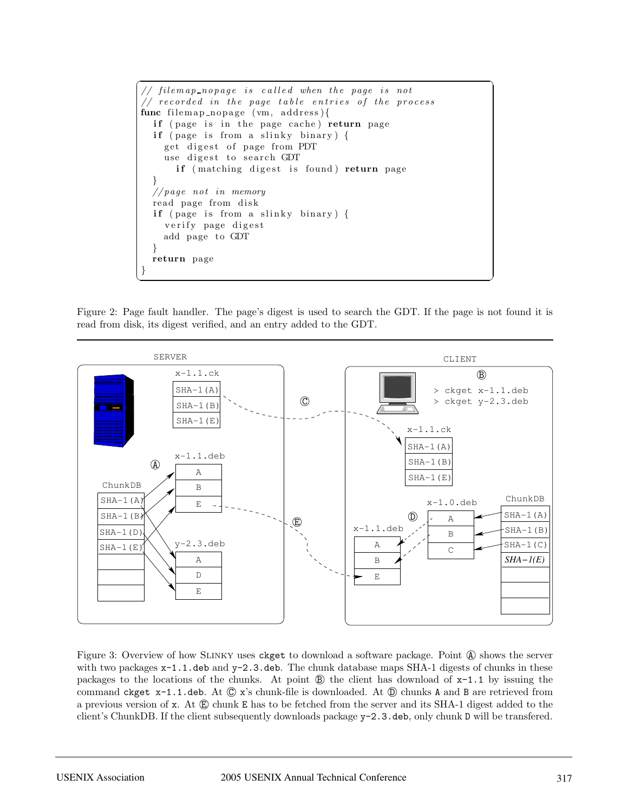```
\sqrt{2} \sqrt{2} \sqrt{2} \sqrt{2} \sqrt{2} \sqrt{2} \sqrt{2} \sqrt{2} \sqrt{2} \sqrt{2} \sqrt{2} \sqrt{2} \sqrt{2} \sqrt{2} \sqrt{2} \sqrt{2} \sqrt{2} \sqrt{2} \sqrt{2} \sqrt{2} \sqrt{2} \sqrt{2} \sqrt{2} \sqrt{2} \sqrt{2} \sqrt{2} \sqrt{2} \sqrt{2// filemap_nopage is called when the page is not
 // recorded in the page table entries of the process
func filemap_nopage (vm, address){
    if ( page is in the page cache ) return page
    if (page is from a slinky binary) {
        get digest of page from PDT
        use digest to search GDT
            if (matching digest is found) return page
     }
    //page not in memory
    read page from disk
    if ( page is from a slinky binary ) {
        verify page digest
        add page to GDT
    }
    return page
 }
\left( \frac{1}{\sqrt{2}}\right) \left( \frac{1}{\sqrt{2}}\right) \left( \frac{1}{\sqrt{2}}\right) \left( \frac{1}{\sqrt{2}}\right) \left( \frac{1}{\sqrt{2}}\right) \left( \frac{1}{\sqrt{2}}\right) \left( \frac{1}{\sqrt{2}}\right) \left( \frac{1}{\sqrt{2}}\right) \left( \frac{1}{\sqrt{2}}\right) \left( \frac{1}{\sqrt{2}}\right)
```
Figure 2: Page fault handler. The page's digest is used to search the GDT. If the page is not found it is read from disk, its digest verified, and an entry added to the GDT.



Figure 3: Overview of how SLINKY uses ckget to download a software package. Point  $\mathcal{A}$  shows the server with two packages  $x-1.1$ .deb and  $y-2.3$ .deb. The chunk database maps SHA-1 digests of chunks in these packages to the locations of the chunks. At point  $\circledB$  the client has download of  $x-1.1$  by issuing the command ckget  $x-1.1$ .deb. At  $\mathbb{Q}$  x's chunk-file is downloaded. At  $\mathbb{D}$  chunks A and B are retrieved from a previous version of  $x$ . At  $\bigoplus$  chunk E has to be fetched from the server and its SHA-1 digest added to the client's ChunkDB. If the client subsequently downloads package y-2.3.deb, only chunk D will be transfered.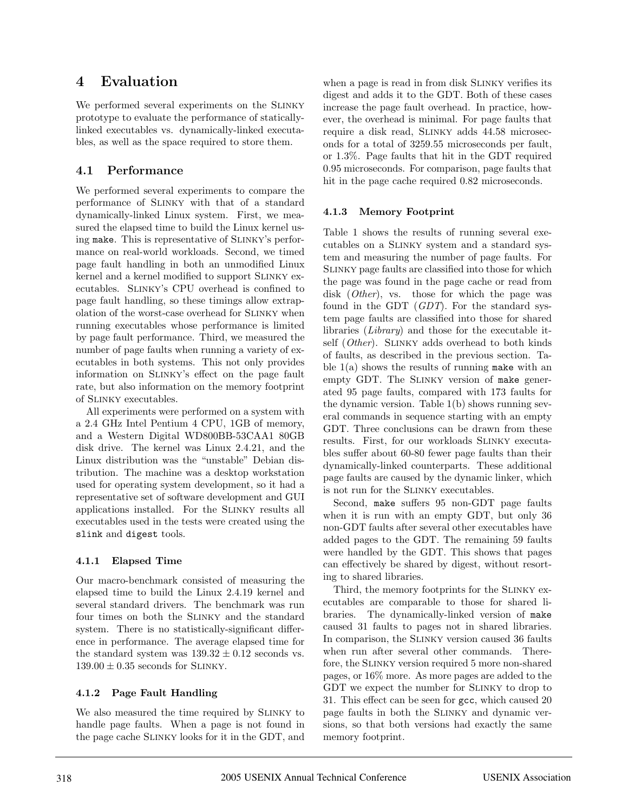## **4 Evaluation**

We performed several experiments on the SLINKY prototype to evaluate the performance of staticallylinked executables vs. dynamically-linked executables, as well as the space required to store them.

## **4.1 Performance**

We performed several experiments to compare the performance of Slinky with that of a standard dynamically-linked Linux system. First, we measured the elapsed time to build the Linux kernel using make. This is representative of Slinky's performance on real-world workloads. Second, we timed page fault handling in both an unmodified Linux kernel and a kernel modified to support Slinky executables. Slinky's CPU overhead is confined to page fault handling, so these timings allow extrapolation of the worst-case overhead for Slinky when running executables whose performance is limited by page fault performance. Third, we measured the number of page faults when running a variety of executables in both systems. This not only provides information on Slinky's effect on the page fault rate, but also information on the memory footprint of Slinky executables.

All experiments were performed on a system with a 2.4 GHz Intel Pentium 4 CPU, 1GB of memory, and a Western Digital WD800BB-53CAA1 80GB disk drive. The kernel was Linux 2.4.21, and the Linux distribution was the "unstable" Debian distribution. The machine was a desktop workstation used for operating system development, so it had a representative set of software development and GUI applications installed. For the Slinky results all executables used in the tests were created using the slink and digest tools.

#### **4.1.1 Elapsed Time**

Our macro-benchmark consisted of measuring the elapsed time to build the Linux 2.4.19 kernel and several standard drivers. The benchmark was run four times on both the Slinky and the standard system. There is no statistically-significant difference in performance. The average elapsed time for the standard system was  $139.32 \pm 0.12$  seconds vs.  $139.00 \pm 0.35$  seconds for SLINKY.

#### **4.1.2 Page Fault Handling**

We also measured the time required by Slinky to handle page faults. When a page is not found in the page cache Slinky looks for it in the GDT, and when a page is read in from disk Slinky verifies its digest and adds it to the GDT. Both of these cases increase the page fault overhead. In practice, however, the overhead is minimal. For page faults that require a disk read, Slinky adds 44.58 microseconds for a total of 3259.55 microseconds per fault, or 1.3%. Page faults that hit in the GDT required 0.95 microseconds. For comparison, page faults that hit in the page cache required 0.82 microseconds.

#### **4.1.3 Memory Footprint**

Table 1 shows the results of running several executables on a Slinky system and a standard system and measuring the number of page faults. For Slinky page faults are classified into those for which the page was found in the page cache or read from disk (*Other*), vs. those for which the page was found in the GDT (GDT). For the standard system page faults are classified into those for shared libraries (Library) and those for the executable itself (*Other*). SLINKY adds overhead to both kinds of faults, as described in the previous section. Table  $1(a)$  shows the results of running make with an empty GDT. The SLINKY version of make generated 95 page faults, compared with 173 faults for the dynamic version. Table 1(b) shows running several commands in sequence starting with an empty GDT. Three conclusions can be drawn from these results. First, for our workloads Slinky executables suffer about 60-80 fewer page faults than their dynamically-linked counterparts. These additional page faults are caused by the dynamic linker, which is not run for the Slinky executables.

Second, make suffers 95 non-GDT page faults when it is run with an empty GDT, but only 36 non-GDT faults after several other executables have added pages to the GDT. The remaining 59 faults were handled by the GDT. This shows that pages can effectively be shared by digest, without resorting to shared libraries.

Third, the memory footprints for the Slinky executables are comparable to those for shared libraries. The dynamically-linked version of make caused 31 faults to pages not in shared libraries. In comparison, the Slinky version caused 36 faults when run after several other commands. Therefore, the Slinky version required 5 more non-shared pages, or 16% more. As more pages are added to the GDT we expect the number for Slinky to drop to 31. This effect can be seen for gcc, which caused 20 page faults in both the Slinky and dynamic versions, so that both versions had exactly the same memory footprint.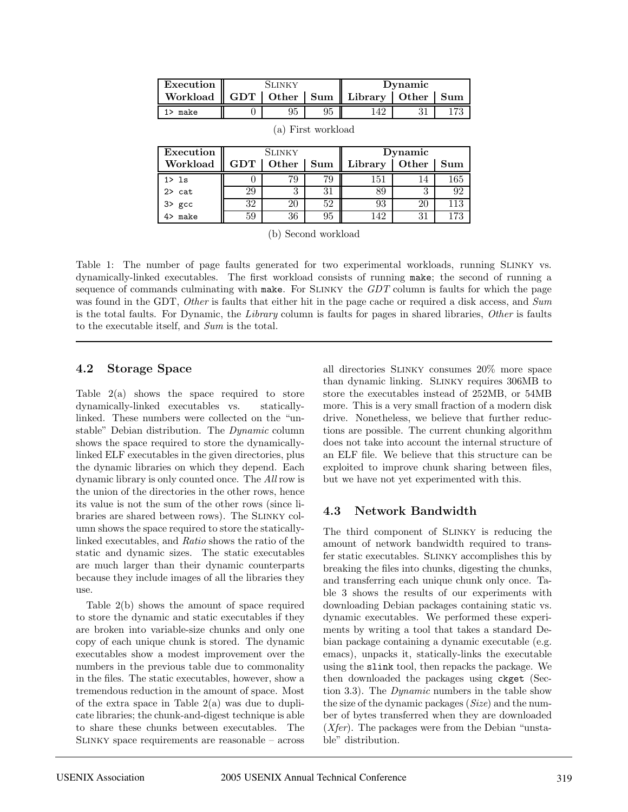| Execution                                              | <b>SLINKY</b> |  |  | Dvnamic |  |  |
|--------------------------------------------------------|---------------|--|--|---------|--|--|
| Workload    GDT   Other   Sum    Library   Other   Sum |               |  |  |         |  |  |
| make                                                   |               |  |  |         |  |  |

| Execution         | <b>SLINKY</b> |              |     | Dynamic |       |     |
|-------------------|---------------|--------------|-----|---------|-------|-----|
| Workload          | GDT           | <b>Other</b> | Sum | Library | Other | Sum |
| 1 > 1s            |               | 79           |     | 151     |       | 165 |
| $2$ cat           | 29            |              |     |         |       | 92  |
| 3> gcc<br>4> make | 32            |              | 52  | 93      | 20    | 113 |
|                   | 59            | 36           | 95  | 142     |       | -79 |

(a) First workload

(b) Second workload

Table 1: The number of page faults generated for two experimental workloads, running Slinky vs. dynamically-linked executables. The first workload consists of running make; the second of running a sequence of commands culminating with make. For SLINKY the  $GDT$  column is faults for which the page was found in the GDT, Other is faults that either hit in the page cache or required a disk access, and Sum is the total faults. For Dynamic, the Library column is faults for pages in shared libraries, Other is faults to the executable itself, and Sum is the total.

#### **4.2 Storage Space**

Table  $2(a)$  shows the space required to store dynamically-linked executables vs. staticallylinked. These numbers were collected on the "unstable" Debian distribution. The Dynamic column shows the space required to store the dynamicallylinked ELF executables in the given directories, plus the dynamic libraries on which they depend. Each dynamic library is only counted once. The All row is the union of the directories in the other rows, hence its value is not the sum of the other rows (since libraries are shared between rows). The Slinky column shows the space required to store the staticallylinked executables, and Ratio shows the ratio of the static and dynamic sizes. The static executables are much larger than their dynamic counterparts because they include images of all the libraries they use.

Table 2(b) shows the amount of space required to store the dynamic and static executables if they are broken into variable-size chunks and only one copy of each unique chunk is stored. The dynamic executables show a modest improvement over the numbers in the previous table due to commonality in the files. The static executables, however, show a tremendous reduction in the amount of space. Most of the extra space in Table  $2(a)$  was due to duplicate libraries; the chunk-and-digest technique is able to share these chunks between executables. The Slinky space requirements are reasonable – across all directories Slinky consumes 20% more space than dynamic linking. Slinky requires 306MB to store the executables instead of 252MB, or 54MB more. This is a very small fraction of a modern disk drive. Nonetheless, we believe that further reductions are possible. The current chunking algorithm does not take into account the internal structure of an ELF file. We believe that this structure can be exploited to improve chunk sharing between files, but we have not yet experimented with this.

#### **4.3 Network Bandwidth**

The third component of Slinky is reducing the amount of network bandwidth required to transfer static executables. Slinky accomplishes this by breaking the files into chunks, digesting the chunks, and transferring each unique chunk only once. Table 3 shows the results of our experiments with downloading Debian packages containing static vs. dynamic executables. We performed these experiments by writing a tool that takes a standard Debian package containing a dynamic executable (e.g. emacs), unpacks it, statically-links the executable using the slink tool, then repacks the package. We then downloaded the packages using ckget (Section 3.3). The Dynamic numbers in the table show the size of the dynamic packages (Size) and the number of bytes transferred when they are downloaded  $(Xfer)$ . The packages were from the Debian "unstable" distribution.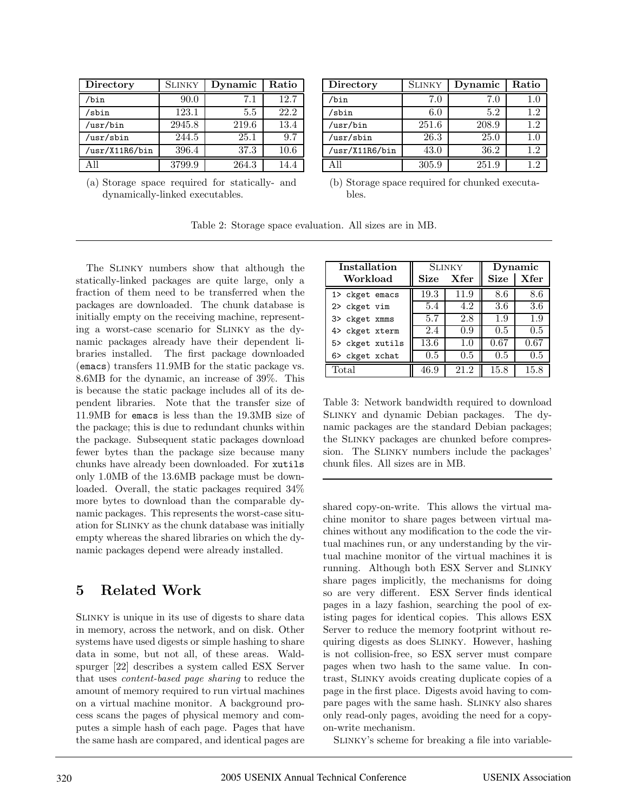| Directory      | <b>SLINKY</b> | Dynamic | Ratio |
|----------------|---------------|---------|-------|
| /bin           | 90.0          | 7.1     | 12.7  |
| /sbin          | 123.1         | 5.5     | 22.2  |
| /usr/bin       | 2945.8        | 219.6   | 13.4  |
| /usr/sbin      | 244.5         | 25.1    | 9.7   |
| /usr/X11R6/bin | 396.4         | 37.3    | 10.6  |
| All            | 3799.9        | 264.3   | 14.4  |

(a) Storage space required for statically- and dynamically-linked executables.

| Directory      | SLINKY | Dynamic | Ratio   |
|----------------|--------|---------|---------|
| $/b$ in        | 7.0    | 7.0     | $1.0\,$ |
| /sbin          | 6.0    | 5.2     | 1.2     |
| /usr/bin       | 251.6  | 208.9   | 12      |
| /usr/sbin      | 26.3   | 25.0    | 1.0     |
| /usr/X11R6/bin | 43.0   | 36.2    | 1.2     |
|                | 305.9  | 251.9   | 12      |

| (b) Storage space required for chunked executa- |  |  |
|-------------------------------------------------|--|--|
| bles.                                           |  |  |

Table 2: Storage space evaluation. All sizes are in MB.

The Slinky numbers show that although the statically-linked packages are quite large, only a fraction of them need to be transferred when the packages are downloaded. The chunk database is initially empty on the receiving machine, representing a worst-case scenario for Slinky as the dynamic packages already have their dependent libraries installed. The first package downloaded (emacs) transfers 11.9MB for the static package vs. 8.6MB for the dynamic, an increase of 39%. This is because the static package includes all of its dependent libraries. Note that the transfer size of 11.9MB for emacs is less than the 19.3MB size of the package; this is due to redundant chunks within the package. Subsequent static packages download fewer bytes than the package size because many chunks have already been downloaded. For xutils only 1.0MB of the 13.6MB package must be downloaded. Overall, the static packages required 34% more bytes to download than the comparable dynamic packages. This represents the worst-case situation for Slinky as the chunk database was initially empty whereas the shared libraries on which the dynamic packages depend were already installed.

## **5 Related Work**

Slinky is unique in its use of digests to share data in memory, across the network, and on disk. Other systems have used digests or simple hashing to share data in some, but not all, of these areas. Waldspurger [22] describes a system called ESX Server that uses content-based page sharing to reduce the amount of memory required to run virtual machines on a virtual machine monitor. A background process scans the pages of physical memory and computes a simple hash of each page. Pages that have the same hash are compared, and identical pages are

| Installation    |         | <b>SLINKY</b> | Dynamic     |          |  |
|-----------------|---------|---------------|-------------|----------|--|
| Workload        | Size    | Xfer          | <b>Size</b> | Xfer     |  |
| 1> ckget emacs  | 19.3    | 11.9          | 8.6         | 8.6      |  |
| 2> ckget vim    | 5.4     | 4.2           | 3.6         | 3.6      |  |
| 3> ckget xmms   | 5.7     | 2.8           | 1.9         | 1.9      |  |
| 4> ckget xterm  | 2.4     | 0.9           | $0.5\,$     | 0.5      |  |
| 5> ckget xutils | 13.6    | $1.0\,$       | 0.67        | $0.67\,$ |  |
| 6> ckget xchat  | $0.5\,$ | 0.5           | 0.5         | 0.5      |  |
| $\text{Total}$  | 46.9    | 21.2          | 15.8        | $15.8\,$ |  |

Table 3: Network bandwidth required to download Slinky and dynamic Debian packages. The dynamic packages are the standard Debian packages; the Slinky packages are chunked before compression. The SLINKY numbers include the packages' chunk files. All sizes are in MB.

shared copy-on-write. This allows the virtual machine monitor to share pages between virtual machines without any modification to the code the virtual machines run, or any understanding by the virtual machine monitor of the virtual machines it is running. Although both ESX Server and Slinky share pages implicitly, the mechanisms for doing so are very different. ESX Server finds identical pages in a lazy fashion, searching the pool of existing pages for identical copies. This allows ESX Server to reduce the memory footprint without requiring digests as does Slinky. However, hashing is not collision-free, so ESX server must compare pages when two hash to the same value. In contrast, Slinky avoids creating duplicate copies of a page in the first place. Digests avoid having to compare pages with the same hash. Slinky also shares only read-only pages, avoiding the need for a copyon-write mechanism.

Slinky's scheme for breaking a file into variable-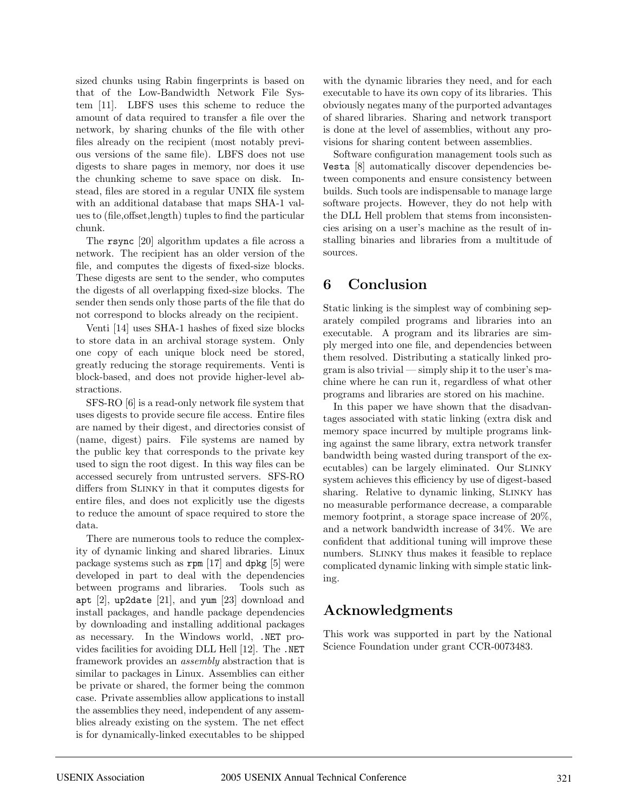sized chunks using Rabin fingerprints is based on that of the Low-Bandwidth Network File System [11]. LBFS uses this scheme to reduce the amount of data required to transfer a file over the network, by sharing chunks of the file with other files already on the recipient (most notably previous versions of the same file). LBFS does not use digests to share pages in memory, nor does it use the chunking scheme to save space on disk. Instead, files are stored in a regular UNIX file system with an additional database that maps SHA-1 values to (file,offset,length) tuples to find the particular chunk.

The rsync [20] algorithm updates a file across a network. The recipient has an older version of the file, and computes the digests of fixed-size blocks. These digests are sent to the sender, who computes the digests of all overlapping fixed-size blocks. The sender then sends only those parts of the file that do not correspond to blocks already on the recipient.

Venti [14] uses SHA-1 hashes of fixed size blocks to store data in an archival storage system. Only one copy of each unique block need be stored, greatly reducing the storage requirements. Venti is block-based, and does not provide higher-level abstractions.

SFS-RO [6] is a read-only network file system that uses digests to provide secure file access. Entire files are named by their digest, and directories consist of (name, digest) pairs. File systems are named by the public key that corresponds to the private key used to sign the root digest. In this way files can be accessed securely from untrusted servers. SFS-RO differs from Slinky in that it computes digests for entire files, and does not explicitly use the digests to reduce the amount of space required to store the data.

There are numerous tools to reduce the complexity of dynamic linking and shared libraries. Linux package systems such as rpm [17] and dpkg [5] were developed in part to deal with the dependencies between programs and libraries. Tools such as apt [2], up2date [21], and yum [23] download and install packages, and handle package dependencies by downloading and installing additional packages as necessary. In the Windows world, .NET provides facilities for avoiding DLL Hell [12]. The .NET framework provides an assembly abstraction that is similar to packages in Linux. Assemblies can either be private or shared, the former being the common case. Private assemblies allow applications to install the assemblies they need, independent of any assemblies already existing on the system. The net effect is for dynamically-linked executables to be shipped with the dynamic libraries they need, and for each executable to have its own copy of its libraries. This obviously negates many of the purported advantages of shared libraries. Sharing and network transport is done at the level of assemblies, without any provisions for sharing content between assemblies.

Software configuration management tools such as Vesta [8] automatically discover dependencies between components and ensure consistency between builds. Such tools are indispensable to manage large software projects. However, they do not help with the DLL Hell problem that stems from inconsistencies arising on a user's machine as the result of installing binaries and libraries from a multitude of sources.

# **6 Conclusion**

Static linking is the simplest way of combining separately compiled programs and libraries into an executable. A program and its libraries are simply merged into one file, and dependencies between them resolved. Distributing a statically linked program is also trivial — simply ship it to the user's machine where he can run it, regardless of what other programs and libraries are stored on his machine.

In this paper we have shown that the disadvantages associated with static linking (extra disk and memory space incurred by multiple programs linking against the same library, extra network transfer bandwidth being wasted during transport of the executables) can be largely eliminated. Our Slinky system achieves this efficiency by use of digest-based sharing. Relative to dynamic linking, SLINKY has no measurable performance decrease, a comparable memory footprint, a storage space increase of 20%, and a network bandwidth increase of 34%. We are confident that additional tuning will improve these numbers. Slinky thus makes it feasible to replace complicated dynamic linking with simple static linking.

# **Acknowledgments**

This work was supported in part by the National Science Foundation under grant CCR-0073483.